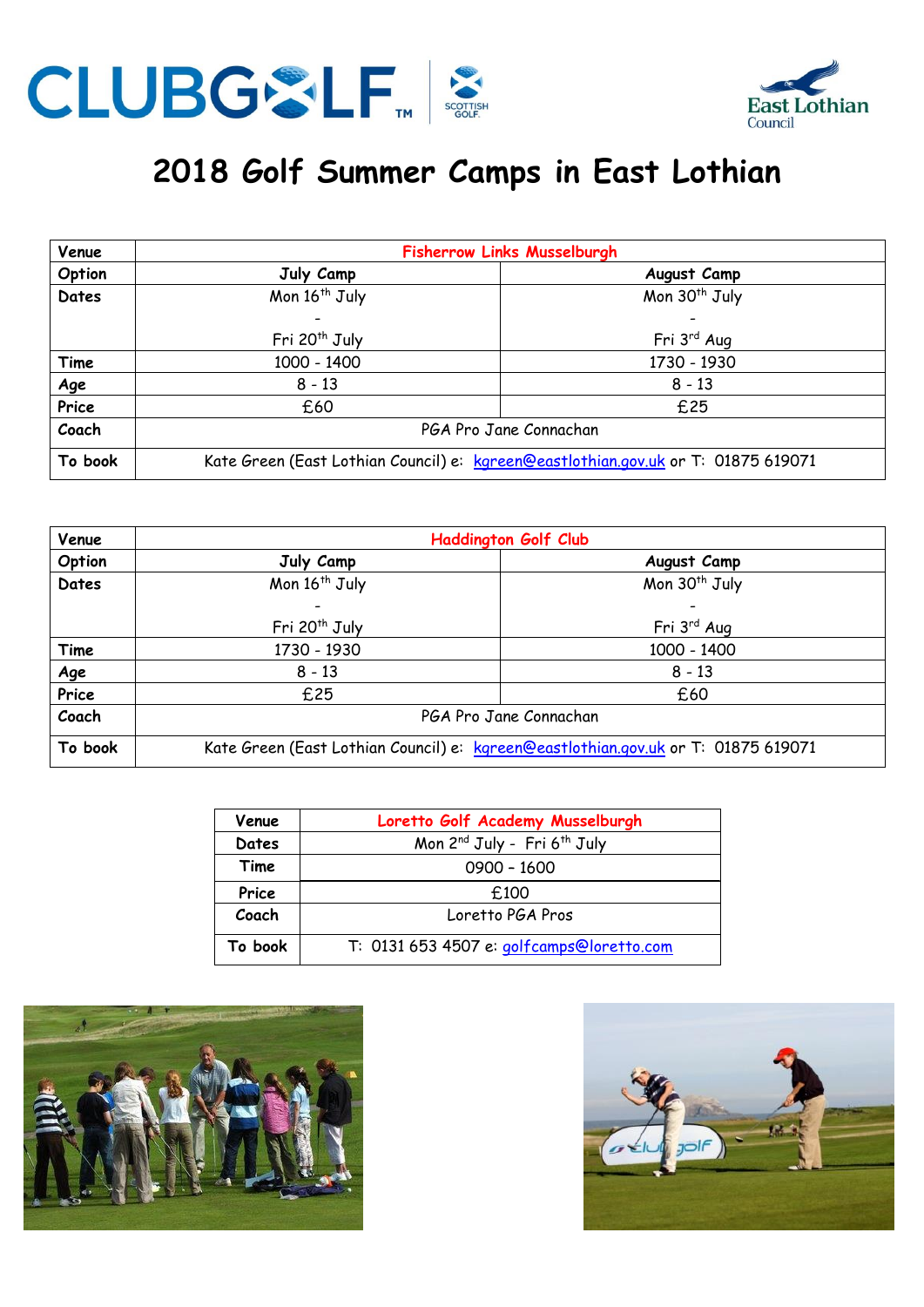



## **2018 Golf Summer Camps in East Lothian**

| Venue      | <b>Fisherrow Links Musselburgh</b>                                                |                           |  |
|------------|-----------------------------------------------------------------------------------|---------------------------|--|
| Option     | July Camp                                                                         | August Camp               |  |
| Dates      | Mon 16 <sup>th</sup> July                                                         | Mon 30 <sup>th</sup> July |  |
|            |                                                                                   |                           |  |
|            | Fri 20 <sup>th</sup> July                                                         | Fri 3 <sup>rd</sup> Aug   |  |
| Time       | 1000 - 1400                                                                       | 1730 - 1930               |  |
| <u>Age</u> | $8 - 13$                                                                          | $8 - 13$                  |  |
| Price      | £60                                                                               | £25                       |  |
| Coach      | PGA Pro Jane Connachan                                                            |                           |  |
| To book    | Kate Green (East Lothian Council) e: kgreen@eastlothian.gov.uk or T: 01875 619071 |                           |  |

| Venue   | <b>Haddington Golf Club</b>                                                       |                           |  |
|---------|-----------------------------------------------------------------------------------|---------------------------|--|
| Option  | July Camp                                                                         | August Camp               |  |
| Dates   | Mon 16 <sup>th</sup> July                                                         | Mon 30 <sup>th</sup> July |  |
|         |                                                                                   |                           |  |
|         | Fri 20 <sup>th</sup> July                                                         | Fri 3rd Aug               |  |
| Time    | 1730 - 1930                                                                       | 1000 - 1400               |  |
| Age     | $8 - 13$                                                                          | $8 - 13$                  |  |
| Price   | £25                                                                               | £60                       |  |
| Coach   | PGA Pro Jane Connachan                                                            |                           |  |
| To book | Kate Green (East Lothian Council) e: kgreen@eastlothian.gov.uk or T: 01875 619071 |                           |  |

| Venue   | Loretto Golf Academy Musselburgh                    |
|---------|-----------------------------------------------------|
| Dates   | Mon 2 <sup>nd</sup> July - Fri 6 <sup>th</sup> July |
| Time    | $0900 - 1600$                                       |
| Price   | £100                                                |
| Coach   | Loretto PGA Pros                                    |
| To book | T: 0131 653 4507 e: golfcamps@loretto.com           |



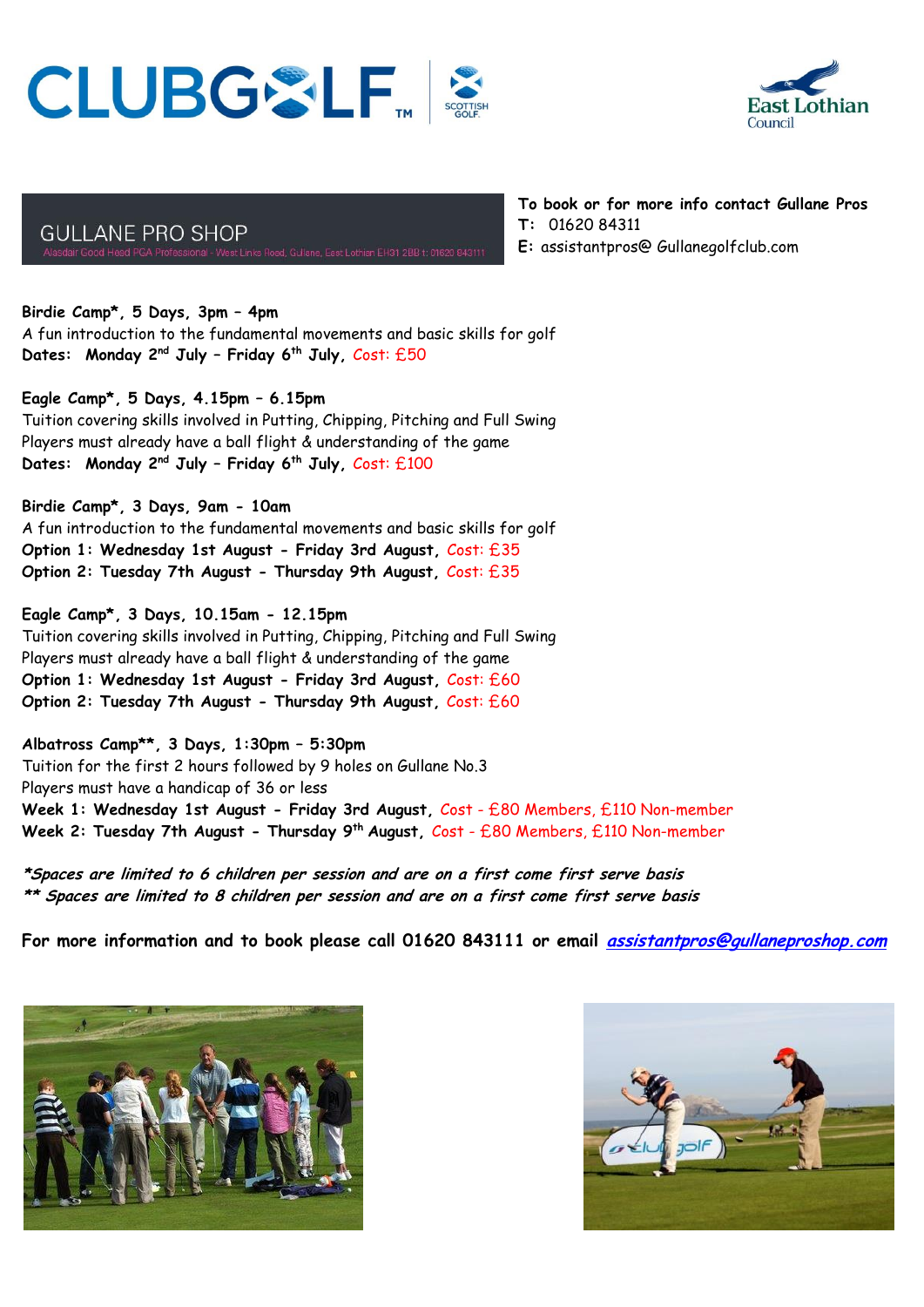## CLUBGSLF.



**GULLANE PRO SHOP** 

**To book or for more info contact Gullane Pros**

- **T:** 01620 84311
- **E:** assistantpros@ Gullanegolfclub.com

**Birdie Camp\*, 5 Days, 3pm – 4pm** A fun introduction to the fundamental movements and basic skills for golf **Dates: Monday 2nd July – Friday 6th July,** Cost: £50

**Eagle Camp\*, 5 Days, 4.15pm – 6.15pm** Tuition covering skills involved in Putting, Chipping, Pitching and Full Swing Players must already have a ball flight & understanding of the game **Dates: Monday 2nd July – Friday 6th July,** Cost: £100

**Birdie Camp\*, 3 Days, 9am - 10am** A fun introduction to the fundamental movements and basic skills for golf **Option 1: Wednesday 1st August - Friday 3rd August,** Cost: £35 **Option 2: Tuesday 7th August - Thursday 9th August,** Cost: £35

**Eagle Camp\*, 3 Days, 10.15am - 12.15pm** Tuition covering skills involved in Putting, Chipping, Pitching and Full Swing Players must already have a ball flight & understanding of the game **Option 1: Wednesday 1st August - Friday 3rd August,** Cost: £60 **Option 2: Tuesday 7th August - Thursday 9th August,** Cost: £60

**Albatross Camp\*\*, 3 Days, 1:30pm – 5:30pm** Tuition for the first 2 hours followed by 9 holes on Gullane No.3 Players must have a handicap of 36 or less **Week 1: Wednesday 1st August - Friday 3rd August,** Cost - £80 Members, £110 Non-member **Week 2: Tuesday 7th August - Thursday 9th August,** Cost - £80 Members, £110 Non-member

**\*Spaces are limited to 6 children per session and are on a first come first serve basis \*\* Spaces are limited to 8 children per session and are on a first come first serve basis**

**For more information and to book please call 01620 843111 or email [assistantpros@gullaneproshop.com](mailto:assistantpros@gullaneproshop.com)**